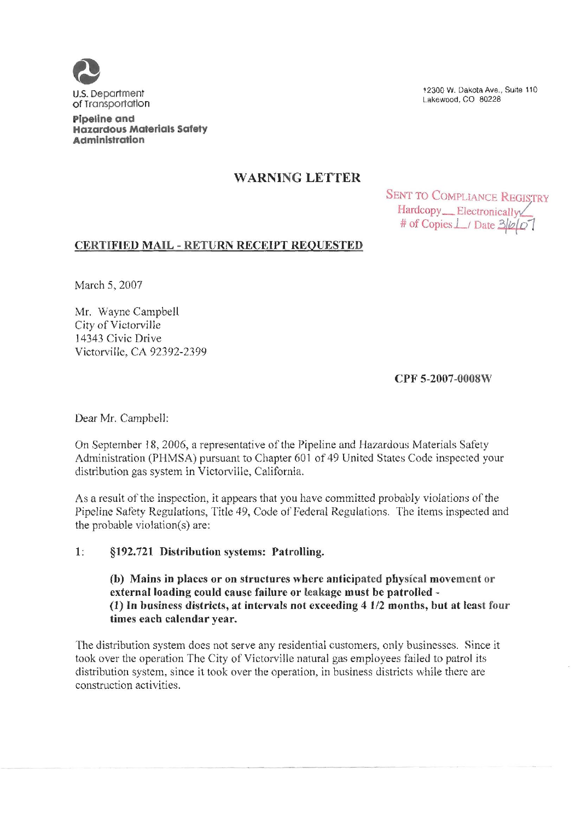

U.S. Department of Transportation

Pipeline and Hazardous Materials Safety Administration

12300 W. Dakota Ave., Suite 110 Lakewood, CO 80228

# WARNING LETTER

SENT TO COMPLIANCE REGISTRY Hardcopy Electronically # of Copies  $\perp$  Date  $3/2$ 

# CERTIFIED MAIL - RETURN RECEIPT REQUESTED

March 5, 2007

Mr. Wayne Campbell City of Victorville 14343 Civic Drive Victorville, CA 92392-2399

CPF 5-2007-0008%

Dear Mr. Campbell:

On September 18, 2006, a representative of the Pipeline and Hazardous Materials Safety Administration (PHMSA) pursuant to Chapter 601 of 49 United States Code inspected your distribution gas system in Victorville, California.

As a result of the inspection, it appears that you have committed probably violations of the Pipeline Safety Regulations, Title 49, Code of Federal Regulations. The items inspected and the probable violation(s) are:

### 1: §192.721 Distribution systems: Patrolling.

(b) Mains in places or on structures where anticipated physical movement or external loading could cause failure or leakage must be patrolled— (I) In business districts, at intervals not exceeding 4 I/2 months, but at least four times each calendar vear.

The distribution system does not serve any residential customers, only businesses. Since it took over the operation The City of Victorville natural gas employees failed to patrol its distribution system, since it took over the operation, in business districts while there are construction activities.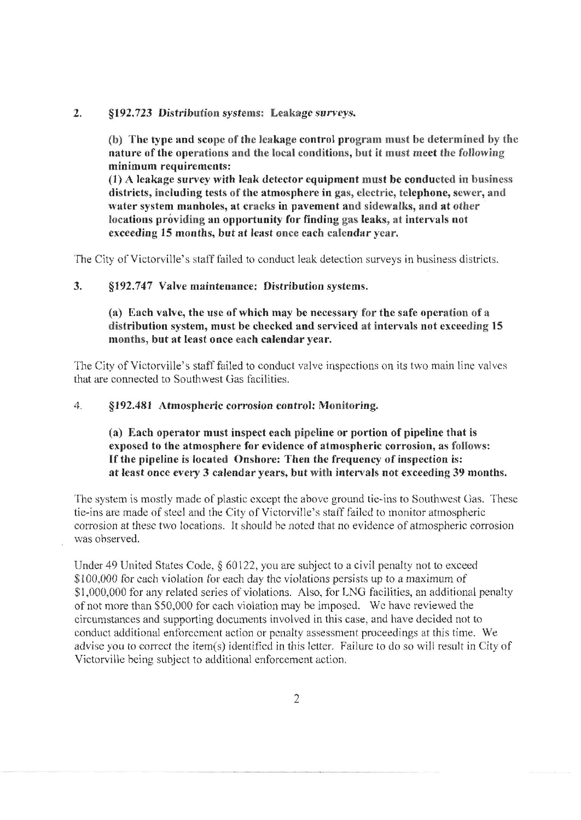## 2. S192.723 Distribution systems: Leakage surveys.

(b) The type and scope of the leakage control program must be determined by the nature of the operations and the local conditions, but it must meet the following minimum requirements:

(I) A leakage survey with leak detector equipment must be conducted in business districts, including tests of the atmosphere in gas, electric, telephone, sewer, and water system manholes, at cracks in pavement and sidewalks, and at other locations providing an opportunity for finding gas leaks, at intervals not exceeding 15 months, but at least once each calendar year,

The City of Victorville's staff failed to conduct leak detection surveys in business districts.

### 3. §192.747 Valve maintenance: Distribution systems.

(a) Each valve, the use of which may be necessary for the safe operation of a distribution system, must be checked and serviced at intervals not exceeding 15 months, but at least once each calendar year.

The City of Victorville's staff failed to conduct valve inspections on its two main line valves that are connected to Southwest Gas facilities.

#### $4<sub>1</sub>$ \$192. 481 Atmospheric corrosion control: Monitoring.

(a) Each operator must inspect each pipeline or portion of pipeline that is exposed to the atmosphere for evidence of atmospheric corrosion, as follows: If the pipeline is located Onshore: Then the frequency of inspection is: at least once every 3 calendar years, but with intervals not exceeding 39 months.

The system is mostly made of plastic except the above ground tie-ins to Southwest Gas. These tie-ins are made of steel and the City of Victorville's staff failed to monitor atmospheric corrosion at these two locations. It should be noted that no evidence of atmospheric corrosion was observed.

Under 49 United States Code,  $\S 60122$ , you are subject to a civil penalty not to exceed \$100,000 for each violation for each day the violations persists up to a maximum of \$1, 000, 000 for any related series of violations. Also, for LNG facilities, an additional penalty of not more than \$50, 000 for each violation may be imposed. Wc have reviewed the circumstances and supporting documents involved in this case, and have decided not to conduct additional enforcement action or penalty assessment proceedings at this time. We advise you to correct the item(s) identified in this letter. Failure to do so will result in City of Victorville being subject to additional enforcement action.